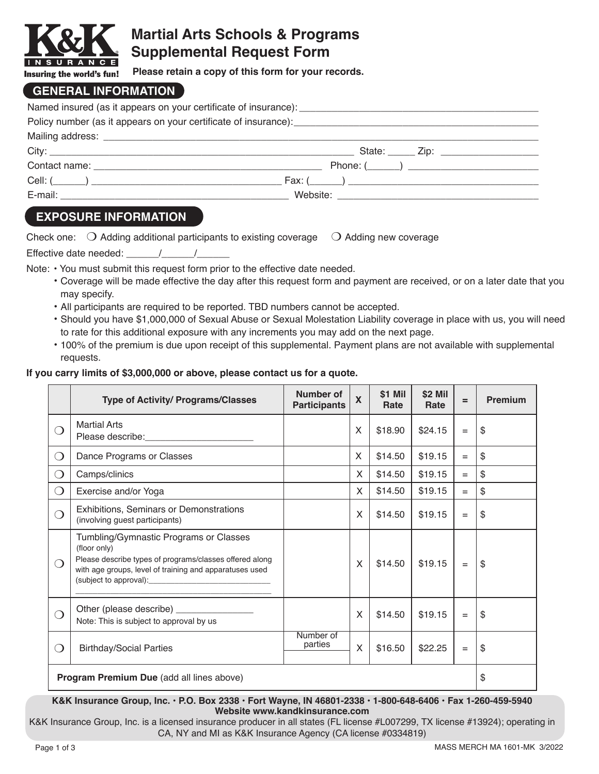

# **Martial Arts Schools & Programs Supplemental Request Form**

**Please retain a copy of this form for your records.**

### **GENERAL INFORMATION**

| State: <u>______</u> Zip: ______________________ |
|--------------------------------------------------|
|                                                  |
|                                                  |
|                                                  |

## **EXPOSURE INFORMATION**

|  | Check one: $\bigcirc$ Adding additional participants to existing coverage $\bigcirc$ Adding new coverage |  |
|--|----------------------------------------------------------------------------------------------------------|--|
|--|----------------------------------------------------------------------------------------------------------|--|

Effective date needed:  $\frac{1}{2}$ 

Note: • You must submit this request form prior to the effective date needed.

- Coverage will be made effective the day after this request form and payment are received, or on a later date that you may specify.
- All participants are required to be reported. TBD numbers cannot be accepted.
- Should you have \$1,000,000 of Sexual Abuse or Sexual Molestation Liability coverage in place with us, you will need to rate for this additional exposure with any increments you may add on the next page.
- 100% of the premium is due upon receipt of this supplemental. Payment plans are not available with supplemental requests.

### **If you carry limits of \$3,000,000 or above, please contact us for a quote.**

|                                 | <b>Type of Activity/ Programs/Classes</b>                                                                                                                                    | Number of<br><b>Participants</b> | $\boldsymbol{\mathsf{X}}$ | \$1 Mil<br>Rate | \$2 Mil<br>Rate | $=$ | <b>Premium</b> |
|---------------------------------|------------------------------------------------------------------------------------------------------------------------------------------------------------------------------|----------------------------------|---------------------------|-----------------|-----------------|-----|----------------|
| ⌒                               | <b>Martial Arts</b>                                                                                                                                                          |                                  | X                         | \$18.90         | \$24.15         | $=$ | \$             |
| $\bigcirc$                      | Dance Programs or Classes                                                                                                                                                    |                                  | $\times$                  | \$14.50         | \$19.15         | $=$ | \$             |
| $\bigcirc$                      | Camps/clinics                                                                                                                                                                |                                  | X                         | \$14.50         | \$19.15         | $=$ | \$             |
| $\bigcirc$                      | Exercise and/or Yoga                                                                                                                                                         |                                  | $\mathsf{X}$              | \$14.50         | \$19.15         | $=$ | \$             |
| ⌒                               | Exhibitions, Seminars or Demonstrations<br>(involving guest participants)                                                                                                    |                                  | X                         | \$14.50         | \$19.15         | $=$ | \$             |
| $\left(\begin{array}{c}\right)$ | Tumbling/Gymnastic Programs or Classes<br>(floor only)<br>Please describe types of programs/classes offered along<br>with age groups, level of training and apparatuses used |                                  | X                         | \$14.50         | \$19.15         | $=$ | \$             |
| ∩                               | Note: This is subject to approval by us                                                                                                                                      |                                  | X                         | \$14.50         | \$19.15         | $=$ | \$             |
| ◯                               | <b>Birthday/Social Parties</b>                                                                                                                                               | Number of<br>parties             | X                         | \$16.50         | \$22.25         | $=$ | \$             |
|                                 | Program Premium Due (add all lines above)                                                                                                                                    |                                  |                           |                 |                 | \$  |                |

#### **K&K Insurance Group, Inc. • P.O. Box 2338 • Fort Wayne, IN 46801-2338 • 1-800-648-6406 • Fax 1-260-459-5940 Website www.kandkinsurance.com**

K&K Insurance Group, Inc. is a licensed insurance producer in all states (FL license #L007299, TX license #13924); operating in CA, NY and MI as K&K Insurance Agency (CA license #0334819)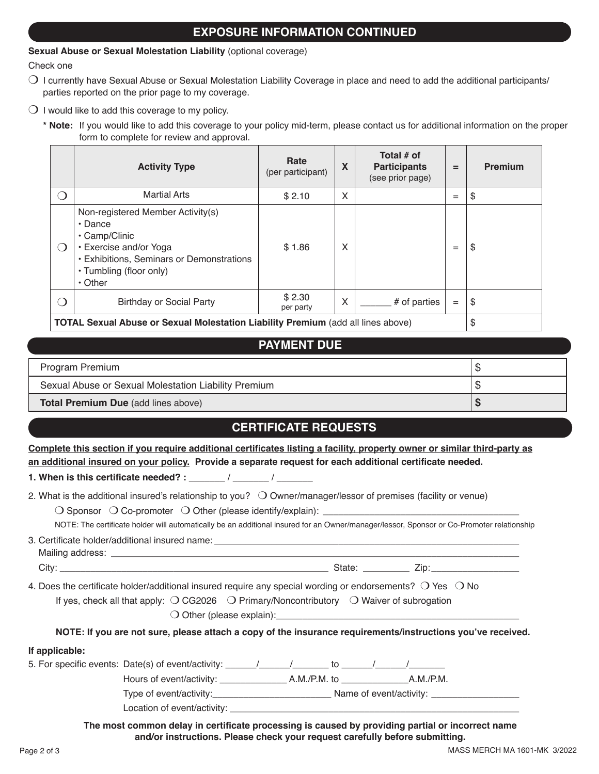### **EXPOSURE INFORMATION CONTINUED**

#### **Sexual Abuse or Sexual Molestation Liability** (optional coverage)

Check one

- $\bigcirc$  I currently have Sexual Abuse or Sexual Molestation Liability Coverage in place and need to add the additional participants/ parties reported on the prior page to my coverage.
- $\bigcirc$  I would like to add this coverage to my policy.
	- **\* Note:** If you would like to add this coverage to your policy mid-term, please contact us for additional information on the proper form to complete for review and approval.

|                                             | <b>Activity Type</b>                                                                                                                                                                          | Rate<br>(per participant) | X | Total # of<br><b>Participants</b><br>(see prior page) | $=$ | <b>Premium</b> |
|---------------------------------------------|-----------------------------------------------------------------------------------------------------------------------------------------------------------------------------------------------|---------------------------|---|-------------------------------------------------------|-----|----------------|
|                                             | <b>Martial Arts</b>                                                                                                                                                                           | \$2.10                    | X |                                                       | $=$ | \$             |
| $\left(\begin{array}{c} \end{array}\right)$ | Non-registered Member Activity(s)<br>$\cdot$ Dance<br>• Camp/Clinic<br>• Exercise and/or Yoga<br><b>· Exhibitions, Seminars or Demonstrations</b><br>• Tumbling (floor only)<br>$\cdot$ Other | \$1.86                    | X |                                                       | $=$ | \$             |
|                                             | <b>Birthday or Social Party</b>                                                                                                                                                               | \$2.30<br>per party       | X | # of parties                                          | $=$ | \$             |
|                                             |                                                                                                                                                                                               |                           |   |                                                       |     | $\rightarrow$  |

**TOTAL Sexual Abuse or Sexual Molestation Liability Premium** (add all lines above)  $\frac{\$}$ 

#### **PAYMENT DUE**

| Program Premium                                      |  |
|------------------------------------------------------|--|
| Sexual Abuse or Sexual Molestation Liability Premium |  |
| <b>Total Premium Due (add lines above)</b>           |  |

#### **CERTIFICATE REQUESTS**

**Complete this section if you require additional certificates listing a facility, property owner or similar third-party as an additional insured on your policy. Provide a separate request for each additional certificate needed. 1. When is this certificate needed? :** \_\_\_\_\_\_\_ / \_\_\_\_\_\_\_ / \_\_\_\_\_\_\_

| <b>I. When is this certificate needed?:</b> |  |  |
|---------------------------------------------|--|--|
|                                             |  |  |

|                | 2. What is the additional insured's relationship to you? $\bigcirc$ Owner/manager/lessor of premises (facility or venue)<br>NOTE: The certificate holder will automatically be an additional insured for an Owner/manager/lessor, Sponsor or Co-Promoter relationship                                                                                             |  |  |  |
|----------------|-------------------------------------------------------------------------------------------------------------------------------------------------------------------------------------------------------------------------------------------------------------------------------------------------------------------------------------------------------------------|--|--|--|
|                |                                                                                                                                                                                                                                                                                                                                                                   |  |  |  |
|                |                                                                                                                                                                                                                                                                                                                                                                   |  |  |  |
|                | 4. Does the certificate holder/additional insured require any special wording or endorsements? $\bigcirc$ Yes $\bigcirc$ No<br>If yes, check all that apply: $\bigcirc$ CG2026 $\bigcirc$ Primary/Noncontributory $\bigcirc$ Waiver of subrogation<br>NOTE: If you are not sure, please attach a copy of the insurance requirements/instructions you've received. |  |  |  |
| If applicable: |                                                                                                                                                                                                                                                                                                                                                                   |  |  |  |
|                |                                                                                                                                                                                                                                                                                                                                                                   |  |  |  |
|                |                                                                                                                                                                                                                                                                                                                                                                   |  |  |  |
|                |                                                                                                                                                                                                                                                                                                                                                                   |  |  |  |
|                |                                                                                                                                                                                                                                                                                                                                                                   |  |  |  |

**The most common delay in certificate processing is caused by providing partial or incorrect name and/or instructions. Please check your request carefully before submitting.**